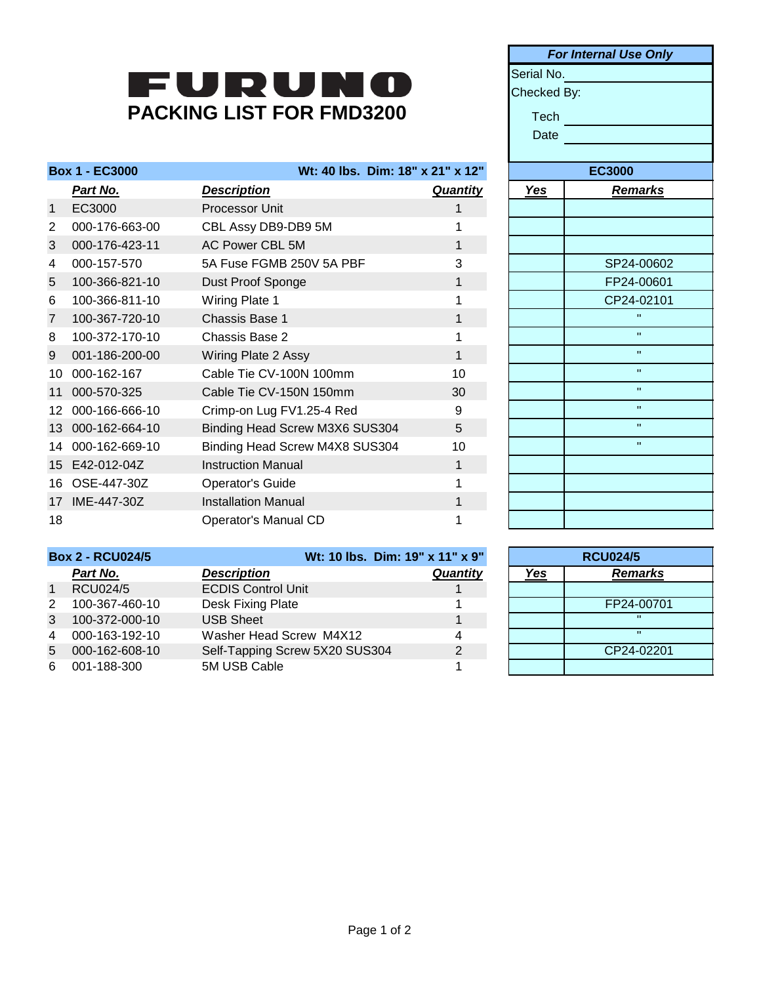## **PACKING LIST FOR FMD3200**

| <b>Box 1 - EC3000</b> |                | Wt: 40 lbs. Dim: 18" x 21" x 12" |                 | <b>EC3000</b> |                |
|-----------------------|----------------|----------------------------------|-----------------|---------------|----------------|
|                       | Part No.       | <u>Description</u>               | <b>Quantity</b> | <u>Yes</u>    | <u>Remarks</u> |
| $\mathbf{1}$          | EC3000         | Processor Unit                   |                 |               |                |
| 2                     | 000-176-663-00 | CBL Assy DB9-DB9 5M              |                 |               |                |
| 3                     | 000-176-423-11 | AC Power CBL 5M                  |                 |               |                |
| 4                     | 000-157-570    | 5A Fuse FGMB 250V 5A PBF         | 3               |               | SP24-00602     |
| 5                     | 100-366-821-10 | Dust Proof Sponge                | 1               |               | FP24-00601     |
| 6                     | 100-366-811-10 | Wiring Plate 1                   |                 |               | CP24-02101     |
| $\overline{7}$        | 100-367-720-10 | <b>Chassis Base 1</b>            |                 |               | $\mathbf{H}$   |
| 8                     | 100-372-170-10 | Chassis Base 2                   |                 |               | $\mathbf{H}$   |
| 9                     | 001-186-200-00 | Wiring Plate 2 Assy              | 1               |               | $\mathbf{H}$   |
| 10                    | 000-162-167    | Cable Tie CV-100N 100mm          | 10              |               | $\mathbf{H}$   |
| 11                    | 000-570-325    | Cable Tie CV-150N 150mm          | 30              |               | $\mathbf{H}$   |
| 12                    | 000-166-666-10 | Crimp-on Lug FV1.25-4 Red        | 9               |               | $\mathbf{H}$   |
| 13                    | 000-162-664-10 | Binding Head Screw M3X6 SUS304   | 5               |               | $\mathbf{H}$   |
| 14                    | 000-162-669-10 | Binding Head Screw M4X8 SUS304   | 10              |               | $\mathbf{H}$   |
|                       | 15 E42-012-04Z | <b>Instruction Manual</b>        | 1               |               |                |
| 16                    | OSE-447-30Z    | <b>Operator's Guide</b>          |                 |               |                |
| 17                    | IME-447-30Z    | <b>Installation Manual</b>       |                 |               |                |
| 18                    |                | Operator's Manual CD             |                 |               |                |

| <b>For Internal Use Only</b> |                |  |
|------------------------------|----------------|--|
|                              |                |  |
| Serial No.                   |                |  |
| Checked By:                  |                |  |
| Tech                         |                |  |
| Date                         |                |  |
|                              |                |  |
|                              | <b>EC3000</b>  |  |
| <u>Yes</u>                   | <b>Remarks</b> |  |
|                              |                |  |
|                              |                |  |
|                              |                |  |
|                              | SP24-00602     |  |
|                              | FP24-00601     |  |
|                              | CP24-02101     |  |
|                              | Ħ              |  |
|                              | Ħ              |  |
|                              | H              |  |
|                              | $\blacksquare$ |  |
|                              | $\mathbf{u}$   |  |
|                              | $\mathbf{u}$   |  |
|                              | $\blacksquare$ |  |
|                              | Ħ              |  |
|                              |                |  |
|                              |                |  |
|                              |                |  |
|                              |                |  |
|                              |                |  |

| <b>Box 2 - RCU024/5</b> |                | Wt: 10 lbs. Dim: 19" x 11" x 9" |          | <b>RCU024/5</b> |                |
|-------------------------|----------------|---------------------------------|----------|-----------------|----------------|
|                         | Part No.       | <b>Description</b>              | Quantity | <u>Yes</u>      | <b>Remarks</b> |
| $\overline{1}$          | RCU024/5       | <b>ECDIS Control Unit</b>       |          |                 |                |
| $\mathcal{P}$           | 100-367-460-10 | Desk Fixing Plate               |          |                 | FP24-00701     |
| 3                       | 100-372-000-10 | <b>USB Sheet</b>                |          |                 |                |
| $\overline{4}$          | 000-163-192-10 | Washer Head Screw M4X12         |          |                 |                |
| 5                       | 000-162-608-10 | Self-Tapping Screw 5X20 SUS304  | 2        |                 | CP24-02201     |
| 6                       | 001-188-300    | 5M USB Cable                    |          |                 |                |

| <b>RCU024/5</b>       |              |  |
|-----------------------|--------------|--|
| <b>Remarks</b><br>Yes |              |  |
|                       |              |  |
| FP24-00701            |              |  |
|                       | п            |  |
|                       | $\mathbf{u}$ |  |
| CP24-02201            |              |  |
|                       |              |  |